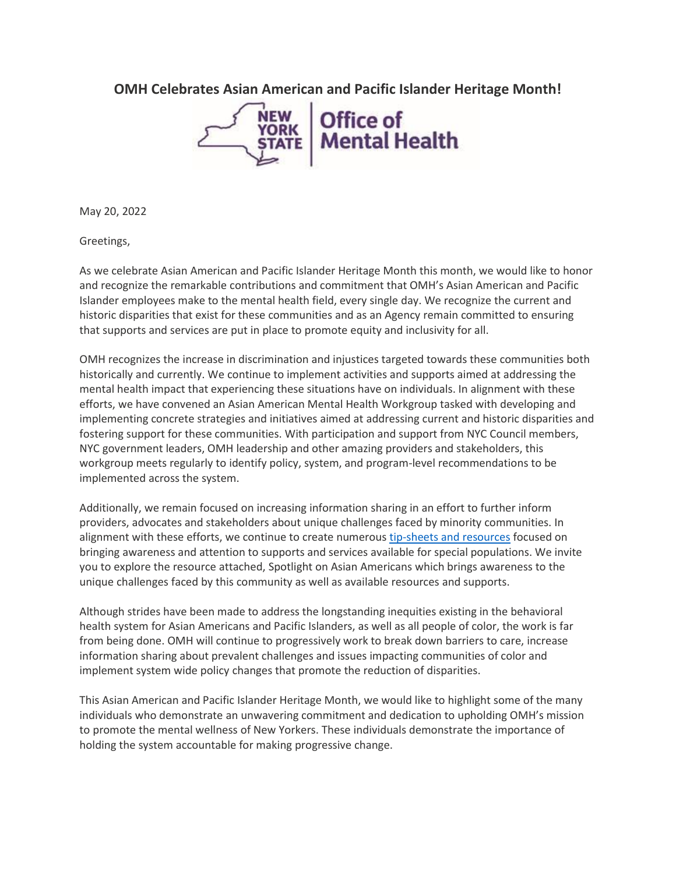**OMH Celebrates Asian American and Pacific Islander Heritage Month!**



May 20, 2022

Greetings,

As we celebrate Asian American and Pacific Islander Heritage Month this month, we would like to honor and recognize the remarkable contributions and commitment that OMH's Asian American and Pacific Islander employees make to the mental health field, every single day. We recognize the current and historic disparities that exist for these communities and as an Agency remain committed to ensuring that supports and services are put in place to promote equity and inclusivity for all.

OMH recognizes the increase in discrimination and injustices targeted towards these communities both historically and currently. We continue to implement activities and supports aimed at addressing the mental health impact that experiencing these situations have on individuals. In alignment with these efforts, we have convened an Asian American Mental Health Workgroup tasked with developing and implementing concrete strategies and initiatives aimed at addressing current and historic disparities and fostering support for these communities. With participation and support from NYC Council members, NYC government leaders, OMH leadership and other amazing providers and stakeholders, this workgroup meets regularly to identify policy, system, and program-level recommendations to be implemented across the system.

Additionally, we remain focused on increasing information sharing in an effort to further inform providers, advocates and stakeholders about unique challenges faced by minority communities. In alignment with these efforts, we continue to create numerous [tip-sheets](https://nam02.safelinks.protection.outlook.com/?url=https%3A%2F%2Fomh.ny.gov%2Fomhweb%2Fcultural_competence%2Fresources.html&data=05%7C01%7Crmc277%40shp.rutgers.edu%7C620eca05774b44e0844c08da3a889d6b%7Cb92d2b234d35447093ff69aca6632ffe%7C1%7C0%7C637886655703832744%7CUnknown%7CTWFpbGZsb3d8eyJWIjoiMC4wLjAwMDAiLCJQIjoiV2luMzIiLCJBTiI6Ik1haWwiLCJXVCI6Mn0%3D%7C3000%7C%7C%7C&sdata=AsVcKH4c8sgMJ505JgXIcB1h2da0%2FqO0eGyL79raQ2E%3D&reserved=0) and resources focused on bringing awareness and attention to supports and services available for special populations. We invite you to explore the resource attached, Spotlight on Asian Americans which brings awareness to the unique challenges faced by this community as well as available resources and supports.

Although strides have been made to address the longstanding inequities existing in the behavioral health system for Asian Americans and Pacific Islanders, as well as all people of color, the work is far from being done. OMH will continue to progressively work to break down barriers to care, increase information sharing about prevalent challenges and issues impacting communities of color and implement system wide policy changes that promote the reduction of disparities.

This Asian American and Pacific Islander Heritage Month, we would like to highlight some of the many individuals who demonstrate an unwavering commitment and dedication to upholding OMH's mission to promote the mental wellness of New Yorkers. These individuals demonstrate the importance of holding the system accountable for making progressive change.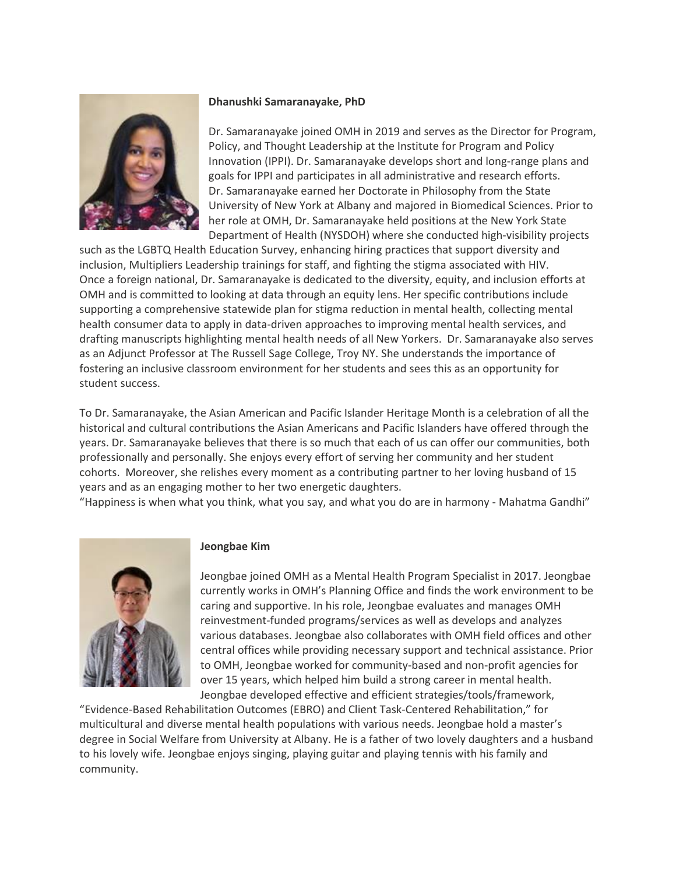

# **Dhanushki Samaranayake, PhD**

Dr. Samaranayake joined OMH in 2019 and serves as the Director for Program, Policy, and Thought Leadership at the Institute for Program and Policy Innovation (IPPI). Dr. Samaranayake develops short and long-range plans and goals for IPPI and participates in all administrative and research efforts. Dr. Samaranayake earned her Doctorate in Philosophy from the State University of New York at Albany and majored in Biomedical Sciences. Prior to her role at OMH, Dr. Samaranayake held positions at the New York State Department of Health (NYSDOH) where she conducted high-visibility projects

such as the LGBTQ Health Education Survey, enhancing hiring practices that support diversity and inclusion, Multipliers Leadership trainings for staff, and fighting the stigma associated with HIV. Once a foreign national, Dr. Samaranayake is dedicated to the diversity, equity, and inclusion efforts at OMH and is committed to looking at data through an equity lens. Her specific contributions include supporting a comprehensive statewide plan for stigma reduction in mental health, collecting mental health consumer data to apply in data-driven approaches to improving mental health services, and drafting manuscripts highlighting mental health needs of all New Yorkers. Dr. Samaranayake also serves as an Adjunct Professor at The Russell Sage College, Troy NY. She understands the importance of fostering an inclusive classroom environment for her students and sees this as an opportunity for student success.

To Dr. Samaranayake, the Asian American and Pacific Islander Heritage Month is a celebration of all the historical and cultural contributions the Asian Americans and Pacific Islanders have offered through the years. Dr. Samaranayake believes that there is so much that each of us can offer our communities, both professionally and personally. She enjoys every effort of serving her community and her student cohorts. Moreover, she relishes every moment as a contributing partner to her loving husband of 15 years and as an engaging mother to her two energetic daughters.

"Happiness is when what you think, what you say, and what you do are in harmony - Mahatma Gandhi"



## **Jeongbae Kim**

Jeongbae joined OMH as a Mental Health Program Specialist in 2017. Jeongbae currently works in OMH's Planning Office and finds the work environment to be caring and supportive. In his role, Jeongbae evaluates and manages OMH reinvestment-funded programs/services as well as develops and analyzes various databases. Jeongbae also collaborates with OMH field offices and other central offices while providing necessary support and technical assistance. Prior to OMH, Jeongbae worked for community-based and non-profit agencies for over 15 years, which helped him build a strong career in mental health. Jeongbae developed effective and efficient strategies/tools/framework,

"Evidence-Based Rehabilitation Outcomes (EBRO) and Client Task-Centered Rehabilitation," for multicultural and diverse mental health populations with various needs. Jeongbae hold a master's degree in Social Welfare from University at Albany. He is a father of two lovely daughters and a husband to his lovely wife. Jeongbae enjoys singing, playing guitar and playing tennis with his family and community.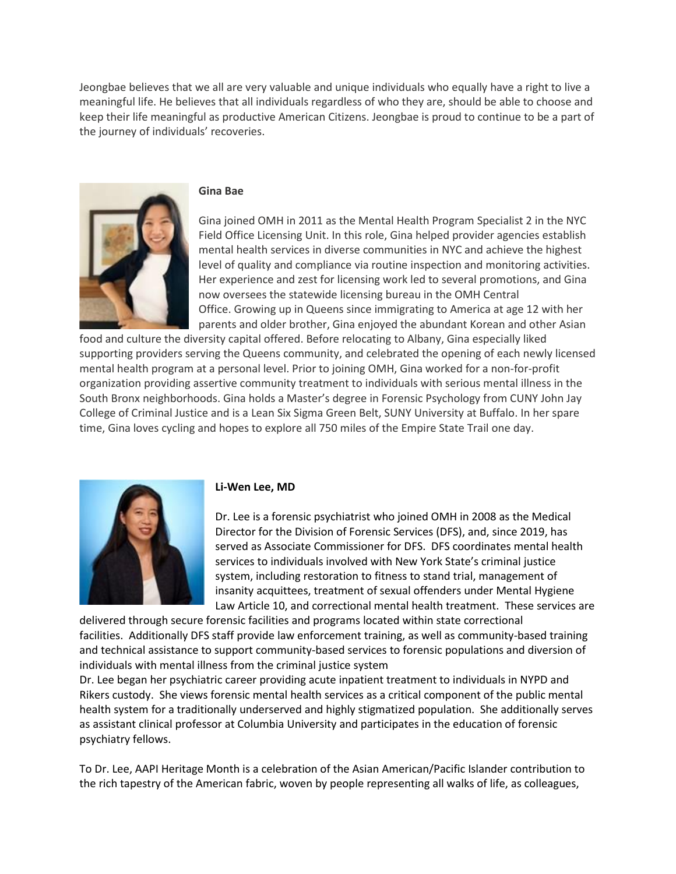Jeongbae believes that we all are very valuable and unique individuals who equally have a right to live a meaningful life. He believes that all individuals regardless of who they are, should be able to choose and keep their life meaningful as productive American Citizens. Jeongbae is proud to continue to be a part of the journey of individuals' recoveries.



#### **Gina Bae**

Gina joined OMH in 2011 as the Mental Health Program Specialist 2 in the NYC Field Office Licensing Unit. In this role, Gina helped provider agencies establish mental health services in diverse communities in NYC and achieve the highest level of quality and compliance via routine inspection and monitoring activities. Her experience and zest for licensing work led to several promotions, and Gina now oversees the statewide licensing bureau in the OMH Central Office. Growing up in Queens since immigrating to America at age 12 with her parents and older brother, Gina enjoyed the abundant Korean and other Asian

food and culture the diversity capital offered. Before relocating to Albany, Gina especially liked supporting providers serving the Queens community, and celebrated the opening of each newly licensed mental health program at a personal level. Prior to joining OMH, Gina worked for a non-for-profit organization providing assertive community treatment to individuals with serious mental illness in the South Bronx neighborhoods. Gina holds a Master's degree in Forensic Psychology from CUNY John Jay College of Criminal Justice and is a Lean Six Sigma Green Belt, SUNY University at Buffalo. In her spare time, Gina loves cycling and hopes to explore all 750 miles of the Empire State Trail one day.



## **Li-Wen Lee, MD**

Dr. Lee is a forensic psychiatrist who joined OMH in 2008 as the Medical Director for the Division of Forensic Services (DFS), and, since 2019, has served as Associate Commissioner for DFS. DFS coordinates mental health services to individuals involved with New York State's criminal justice system, including restoration to fitness to stand trial, management of insanity acquittees, treatment of sexual offenders under Mental Hygiene Law Article 10, and correctional mental health treatment. These services are

delivered through secure forensic facilities and programs located within state correctional facilities. Additionally DFS staff provide law enforcement training, as well as community-based training and technical assistance to support community-based services to forensic populations and diversion of individuals with mental illness from the criminal justice system

Dr. Lee began her psychiatric career providing acute inpatient treatment to individuals in NYPD and Rikers custody. She views forensic mental health services as a critical component of the public mental health system for a traditionally underserved and highly stigmatized population. She additionally serves as assistant clinical professor at Columbia University and participates in the education of forensic psychiatry fellows.

To Dr. Lee, AAPI Heritage Month is a celebration of the Asian American/Pacific Islander contribution to the rich tapestry of the American fabric, woven by people representing all walks of life, as colleagues,